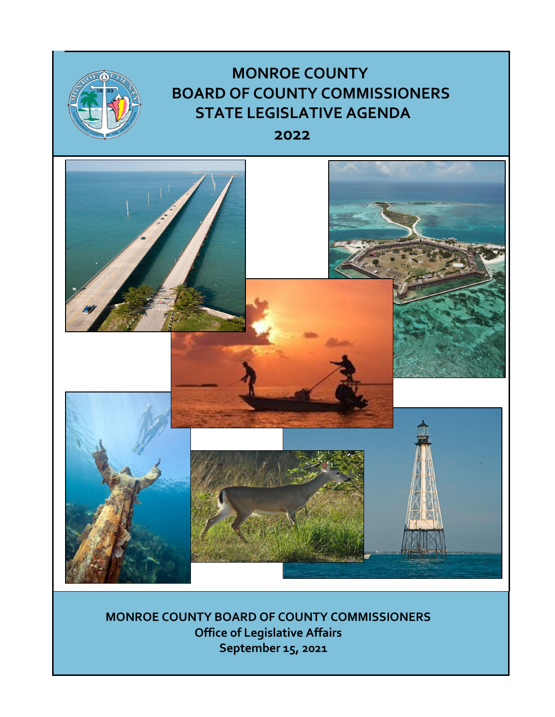

**MONROE COUNTY BOARD OF COUNTY COMMISSIONERS Office of Legislative Affairs September 15, 2021**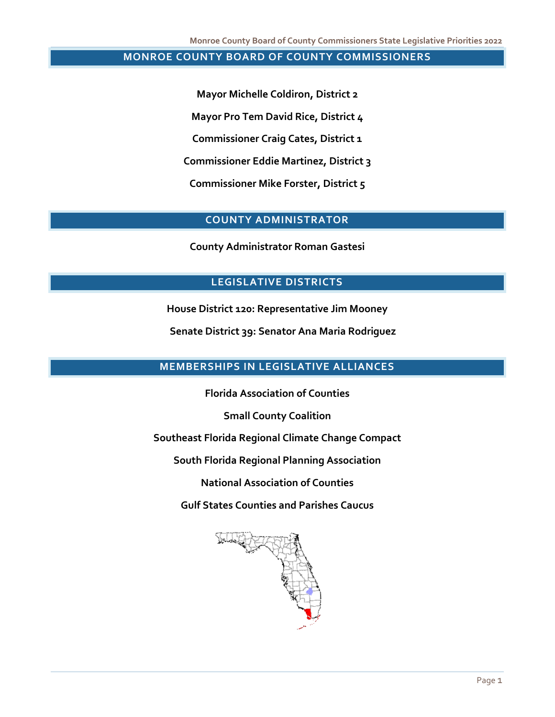### **MONROE COUNTY BOARD OF COUNTY COMMISSIONERS**

**Mayor Michelle Coldiron, District 2 Mayor Pro Tem David Rice, District 4 Commissioner Craig Cates, District 1 Commissioner Eddie Martinez, District 3 Commissioner Mike Forster, District 5**

# **COUNTY ADMINISTRATOR**

**County Administrator Roman Gastesi**

### **LEGISLATIVE DISTRICTS**

**House District 120: Representative Jim Mooney**

 **Senate District 39: Senator Ana Maria Rodriguez**

# **MEMBERSHIPS IN LEGISLATIVE ALLIANCES**

**Florida Association of Counties**

**Small County Coalition**

**Southeast Florida Regional Climate Change Compact**

**South Florida Regional Planning Association**

**National Association of Counties**

**Gulf States Counties and Parishes Caucus**

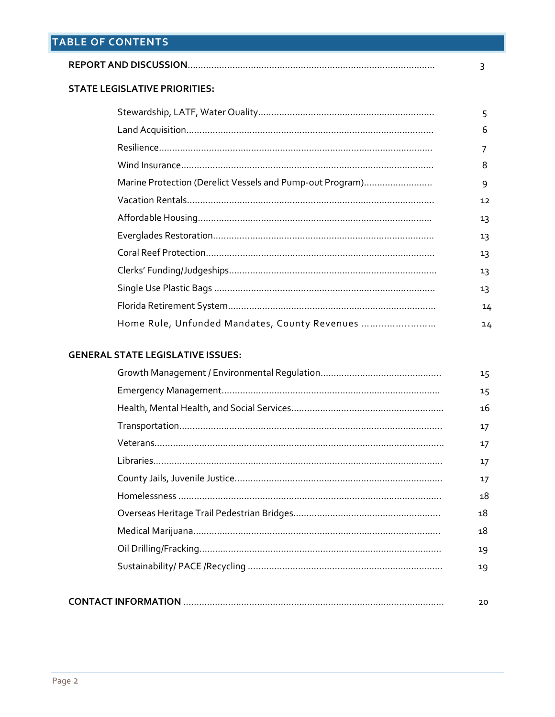|                                                                                                                                                                                                                                | 3  |
|--------------------------------------------------------------------------------------------------------------------------------------------------------------------------------------------------------------------------------|----|
| <b>STATE LEGISLATIVE PRIORITIES:</b>                                                                                                                                                                                           |    |
|                                                                                                                                                                                                                                | 5  |
|                                                                                                                                                                                                                                | 6  |
|                                                                                                                                                                                                                                |    |
|                                                                                                                                                                                                                                | 8  |
| Marine Protection (Derelict Vessels and Pump-out Program)                                                                                                                                                                      | 9  |
|                                                                                                                                                                                                                                | 12 |
|                                                                                                                                                                                                                                | 13 |
|                                                                                                                                                                                                                                | 13 |
|                                                                                                                                                                                                                                | 13 |
|                                                                                                                                                                                                                                | 13 |
| Single Use Plastic Bags and the control of the control of the control of the control of the control of the control of the control of the control of the control of the control of the control of the control of the control of | 12 |

|                                               | 13 |
|-----------------------------------------------|----|
|                                               | 14 |
| Home Rule, Unfunded Mandates, County Revenues | 14 |

# **GENERAL STATE LEGISLATIVE ISSUES:**

|  | 15 |
|--|----|
|  | 15 |
|  | 16 |
|  | 17 |
|  | 17 |
|  | 17 |
|  | 17 |
|  | 18 |
|  | 18 |
|  | 18 |
|  | 19 |
|  | 19 |
|  |    |
|  |    |

|--|--|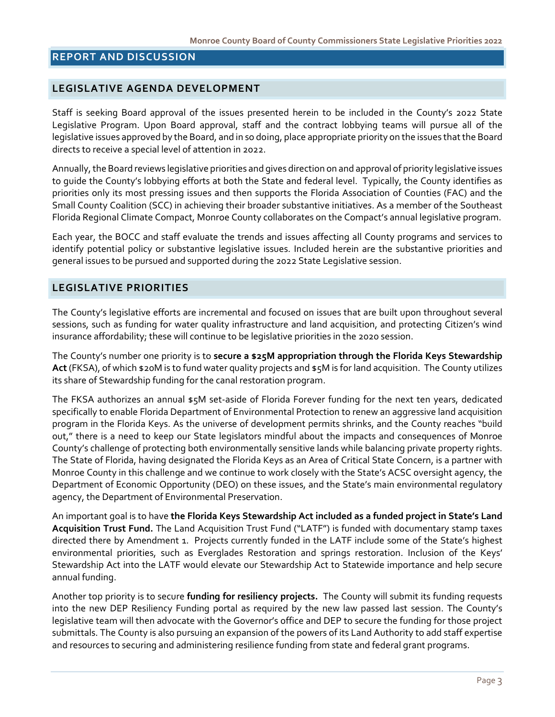# **REPORT AND DISCUSSION**

# **LEGISLATIVE AGENDA DEVELOPMENT**

Staff is seeking Board approval of the issues presented herein to be included in the County's 2022 State Legislative Program. Upon Board approval, staff and the contract lobbying teams will pursue all of the legislative issues approved by the Board, and in so doing, place appropriate priority on the issues that the Board directs to receive a special level of attention in 2022.

Annually, the Board reviews legislative priorities and gives direction on and approval of priority legislative issues to guide the County's lobbying efforts at both the State and federal level. Typically, the County identifies as priorities only its most pressing issues and then supports the Florida Association of Counties (FAC) and the Small County Coalition (SCC) in achieving their broader substantive initiatives. As a member of the Southeast Florida Regional Climate Compact, Monroe County collaborates on the Compact's annual legislative program.

Each year, the BOCC and staff evaluate the trends and issues affecting all County programs and services to identify potential policy or substantive legislative issues. Included herein are the substantive priorities and general issues to be pursued and supported during the 2022 State Legislative session.

#### **LEGISLATIVE PRIORITIES**

The County's legislative efforts are incremental and focused on issues that are built upon throughout several sessions, such as funding for water quality infrastructure and land acquisition, and protecting Citizen's wind insurance affordability; these will continue to be legislative priorities in the 2020 session.

The County's number one priority is to **secure a \$25M appropriation through the Florida Keys Stewardship Act** (FKSA), of which \$20M is to fund water quality projects and \$5M is for land acquisition. The County utilizes its share of Stewardship funding for the canal restoration program.

The FKSA authorizes an annual \$5M set-aside of Florida Forever funding for the next ten years, dedicated specifically to enable Florida Department of Environmental Protection to renew an aggressive land acquisition program in the Florida Keys. As the universe of development permits shrinks, and the County reaches "build out," there is a need to keep our State legislators mindful about the impacts and consequences of Monroe County's challenge of protecting both environmentally sensitive lands while balancing private property rights. The State of Florida, having designated the Florida Keys as an Area of Critical State Concern, is a partner with Monroe County in this challenge and we continue to work closely with the State's ACSC oversight agency, the Department of Economic Opportunity (DEO) on these issues, and the State's main environmental regulatory agency, the Department of Environmental Preservation.

An important goal is to have **the Florida Keys Stewardship Act included as a funded project in State's Land Acquisition Trust Fund.** The Land Acquisition Trust Fund ("LATF") is funded with documentary stamp taxes directed there by Amendment 1. Projects currently funded in the LATF include some of the State's highest environmental priorities, such as Everglades Restoration and springs restoration. Inclusion of the Keys' Stewardship Act into the LATF would elevate our Stewardship Act to Statewide importance and help secure annual funding.

Another top priority is to secure **funding for resiliency projects.** The County will submit its funding requests into the new DEP Resiliency Funding portal as required by the new law passed last session. The County's legislative team will then advocate with the Governor's office and DEP to secure the funding for those project submittals. The County is also pursuing an expansion of the powers of its Land Authority to add staff expertise and resources to securing and administering resilience funding from state and federal grant programs.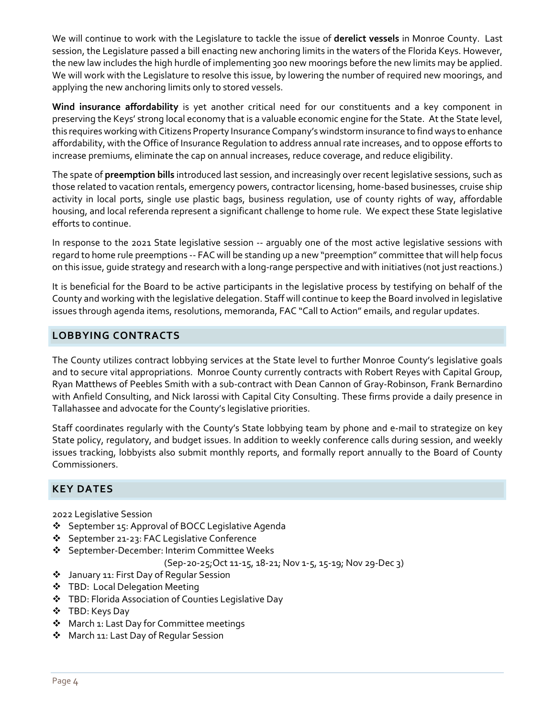We will continue to work with the Legislature to tackle the issue of **derelict vessels** in Monroe County. Last session, the Legislature passed a bill enacting new anchoring limits in the waters of the Florida Keys. However, the new law includes the high hurdle of implementing 300 new moorings before the new limits may be applied. We will work with the Legislature to resolve this issue, by lowering the number of required new moorings, and applying the new anchoring limits only to stored vessels.

**Wind insurance affordability** is yet another critical need for our constituents and a key component in preserving the Keys' strong local economy that is a valuable economic engine for the State. At the State level, this requires working with Citizens Property Insurance Company's windstorm insurance to find ways to enhance affordability, with the Office of Insurance Regulation to address annual rate increases, and to oppose efforts to increase premiums, eliminate the cap on annual increases, reduce coverage, and reduce eligibility.

The spate of **preemption bills** introduced last session, and increasingly over recent legislative sessions, such as those related to vacation rentals, emergency powers, contractor licensing, home-based businesses, cruise ship activity in local ports, single use plastic bags, business regulation, use of county rights of way, affordable housing, and local referenda represent a significant challenge to home rule. We expect these State legislative efforts to continue.

In response to the 2021 State legislative session -- arguably one of the most active legislative sessions with regard to home rule preemptions -- FAC will be standing up a new "preemption" committee that will help focus on this issue, guide strategy and research with a long-range perspective and with initiatives (not just reactions.)

It is beneficial for the Board to be active participants in the legislative process by testifying on behalf of the County and working with the legislative delegation. Staff will continue to keep the Board involved in legislative issues through agenda items, resolutions, memoranda, FAC "Call to Action" emails, and regular updates.

# **LOBBYING CONTRACTS**

The County utilizes contract lobbying services at the State level to further Monroe County's legislative goals and to secure vital appropriations. Monroe County currently contracts with Robert Reyes with Capital Group, Ryan Matthews of Peebles Smith with a sub-contract with Dean Cannon of Gray-Robinson, Frank Bernardino with Anfield Consulting, and Nick Iarossi with Capital City Consulting. These firms provide a daily presence in Tallahassee and advocate for the County's legislative priorities.

Staff coordinates regularly with the County's State lobbying team by phone and e-mail to strategize on key State policy, regulatory, and budget issues. In addition to weekly conference calls during session, and weekly issues tracking, lobbyists also submit monthly reports, and formally report annually to the Board of County Commissioners.

# **KEY DATES**

2022 Legislative Session

- ❖ September 15: Approval of BOCC Legislative Agenda
- ❖ September 21-23: FAC Legislative Conference
- ❖ September-December: Interim Committee Weeks

(Sep-20-25;Oct 11-15, 18-21; Nov 1-5, 15-19; Nov 29-Dec 3)

- January 11: First Day of Regular Session
- **❖** TBD: Local Delegation Meeting
- TBD: Florida Association of Counties Legislative Day
- TBD: Keys Day
- ◆ March 1: Last Day for Committee meetings
- **\*** March 11: Last Day of Regular Session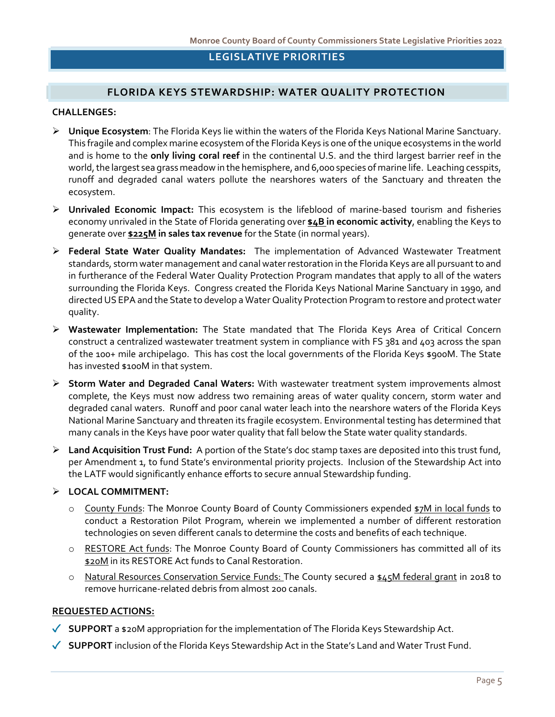### **LEGISLATIVE PRIORITIES**

# **FLORIDA KEYS STEWARDSHIP: WATER QUALITY PROTECTION**

#### **CHALLENGES:**

- **Unique Ecosystem**: The Florida Keys lie within the waters of the Florida Keys National Marine Sanctuary. This fragile and complex marine ecosystem of the Florida Keys is one of the unique ecosystems in the world and is home to the **only living coral reef** in the continental U.S. and the third largest barrier reef in the world, the largest sea grass meadow in the hemisphere, and 6,000 species of marine life. Leaching cesspits, runoff and degraded canal waters pollute the nearshores waters of the Sanctuary and threaten the ecosystem.
- **Unrivaled Economic Impact:** This ecosystem is the lifeblood of marine-based tourism and fisheries economy unrivaled in the State of Florida generating over **\$4B in economic activity**, enabling the Keys to generate over **\$225M in sales tax revenue** for the State (in normal years).
- **Federal State Water Quality Mandates:** The implementation of Advanced Wastewater Treatment standards, storm water management and canal water restoration in the Florida Keys are all pursuant to and in furtherance of the Federal Water Quality Protection Program mandates that apply to all of the waters surrounding the Florida Keys. Congress created the Florida Keys National Marine Sanctuary in 1990, and directed US EPAand the State to develop a Water Quality Protection Program to restore and protect water quality.
- **Wastewater Implementation:** The State mandated that The Florida Keys Area of Critical Concern construct a centralized wastewater treatment system in compliance with FS 381 and 403 across the span of the 100+ mile archipelago. This has cost the local governments of the Florida Keys \$900M. The State has invested \$100M in that system.
- **Storm Water and Degraded Canal Waters:** With wastewater treatment system improvements almost complete, the Keys must now address two remaining areas of water quality concern, storm water and degraded canal waters. Runoff and poor canal water leach into the nearshore waters of the Florida Keys National Marine Sanctuary and threaten its fragile ecosystem. Environmental testing has determined that many canals in the Keys have poor water quality that fall below the State water quality standards.
- **Land Acquisition Trust Fund:** A portion of the State's doc stamp taxes are deposited into this trust fund, per Amendment 1, to fund State's environmental priority projects. Inclusion of the Stewardship Act into the LATF would significantly enhance efforts to secure annual Stewardship funding.

#### **LOCAL COMMITMENT:**

- o County Funds: The Monroe County Board of County Commissioners expended \$7M in local funds to conduct a Restoration Pilot Program, wherein we implemented a number of different restoration technologies on seven different canals to determine the costs and benefits of each technique.
- o RESTORE Act funds: The Monroe County Board of County Commissioners has committed all of its \$20M in its RESTORE Act funds to Canal Restoration.
- $\circ$  Natural Resources Conservation Service Funds: The County secured a \$45M federal grant in 2018 to remove hurricane-related debris from almost 200 canals.

- **SUPPORT** a \$20M appropriation for the implementation of The Florida Keys Stewardship Act.
- **SUPPORT** inclusion of the Florida Keys Stewardship Act in the State's Land and Water Trust Fund.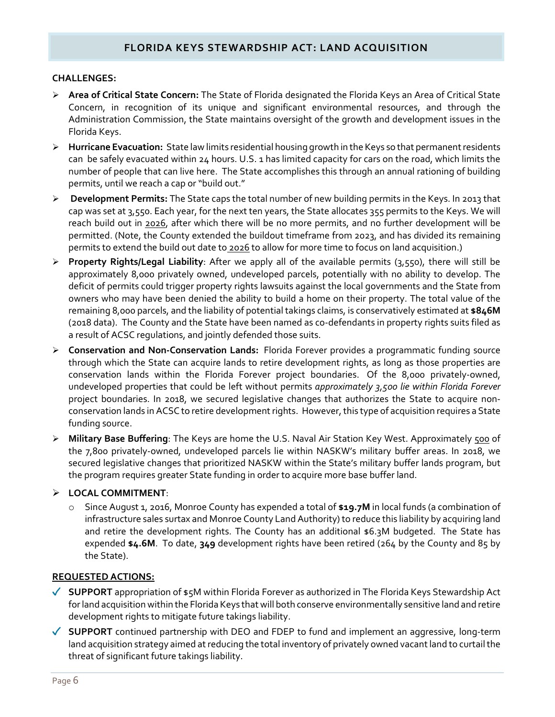# **FLORIDA KEYS STEWARDSHIP ACT: LAND ACQUISITION**

#### **CHALLENGES:**

- **Area of Critical State Concern:** The State of Florida designated the Florida Keys an Area of Critical State Concern, in recognition of its unique and significant environmental resources, and through the Administration Commission, the State maintains oversight of the growth and development issues in the Florida Keys.
- **Hurricane Evacuation:** State law limits residential housing growth in the Keys so that permanent residents can be safely evacuated within 24 hours. U.S. 1 has limited capacity for cars on the road, which limits the number of people that can live here. The State accomplishes this through an annual rationing of building permits, until we reach a cap or "build out."
- **Development Permits:** The State caps the total number of new building permits in the Keys. In 2013 that cap was set at 3,550. Each year, for the next ten years, the State allocates 355 permits to the Keys. We will reach build out in 2026, after which there will be no more permits, and no further development will be permitted. (Note, the County extended the buildout timeframe from 2023, and has divided its remaining permits to extend the build out date to 2026 to allow for more time to focus on land acquisition.)
- **Property Rights/Legal Liability**: After we apply all of the available permits (3,550), there will still be approximately 8,000 privately owned, undeveloped parcels, potentially with no ability to develop. The deficit of permits could trigger property rights lawsuits against the local governments and the State from owners who may have been denied the ability to build a home on their property. The total value of the remaining 8,000 parcels, and the liability of potential takings claims, is conservatively estimated at **\$846M**  (2018 data). The County and the State have been named as co-defendants in property rights suits filed as a result of ACSC regulations, and jointly defended those suits.
- **Conservation and Non-Conservation Lands:** Florida Forever provides a programmatic funding source through which the State can acquire lands to retire development rights, as long as those properties are conservation lands within the Florida Forever project boundaries. Of the 8,000 privately-owned, undeveloped properties that could be left without permits *approximately 3,500 lie within Florida Forever* project boundaries. In 2018, we secured legislative changes that authorizes the State to acquire nonconservation lands in ACSC to retire development rights. However, this type of acquisition requires a State funding source.
- **Military Base Buffering**: The Keys are home the U.S. Naval Air Station Key West. Approximately 500 of the 7,800 privately-owned, undeveloped parcels lie within NASKW's military buffer areas. In 2018, we secured legislative changes that prioritized NASKW within the State's military buffer lands program, but the program requires greater State funding in order to acquire more base buffer land.

### **LOCAL COMMITMENT**:

o Since August 1, 2016, Monroe County has expended a total of **\$19.7M** in local funds (a combination of infrastructure sales surtax and Monroe County Land Authority) to reduce this liability by acquiring land and retire the development rights. The County has an additional \$6.3M budgeted. The State has expended **\$4.6M**. To date, **349** development rights have been retired (264 by the County and 85 by the State).

- **SUPPORT** appropriation of \$5M within Florida Forever as authorized in The Florida Keys Stewardship Act for land acquisition within the Florida Keys that will both conserve environmentally sensitive land and retire development rights to mitigate future takings liability.
- ◆ **SUPPORT** continued partnership with DEO and FDEP to fund and implement an aggressive, long-term land acquisition strategy aimed at reducing the total inventory of privately owned vacant land to curtail the threat of significant future takings liability.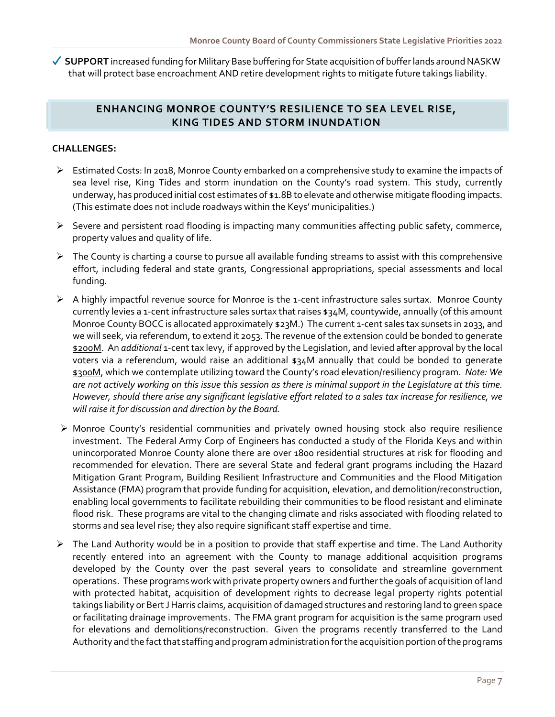◆ **SUPPORT** increased funding for Military Base buffering for State acquisition of buffer lands around NASKW that will protect base encroachment AND retire development rights to mitigate future takings liability.

### **ENHANCING MONROE COUNTY'S RESILIENCE TO SEA LEVEL RISE, KING TIDES AND STORM INUNDATION**

### **CHALLENGES:**

- Estimated Costs: In 2018, Monroe County embarked on a comprehensive study to examine the impacts of sea level rise, King Tides and storm inundation on the County's road system. This study, currently underway, has produced initial cost estimates of \$1.8B to elevate and otherwise mitigate flooding impacts. (This estimate does not include roadways within the Keys' municipalities.)
- $\triangleright$  Severe and persistent road flooding is impacting many communities affecting public safety, commerce, property values and quality of life.
- $\triangleright$  The County is charting a course to pursue all available funding streams to assist with this comprehensive effort, including federal and state grants, Congressional appropriations, special assessments and local funding.
- A highly impactful revenue source for Monroe is the 1-cent infrastructure sales surtax. Monroe County currently levies a 1-cent infrastructure sales surtax that raises \$34M, countywide, annually (of this amount Monroe County BOCC is allocated approximately \$23M.) The current 1-cent sales tax sunsets in 2033, and we will seek, via referendum, to extend it 2053. The revenue of the extension could be bonded to generate \$200M. An *additional* 1-cent tax levy, if approved by the Legislation, and levied after approval by the local voters via a referendum, would raise an additional \$34M annually that could be bonded to generate \$300M, which we contemplate utilizing toward the County's road elevation/resiliency program. *Note: We are not actively working on this issue this session as there is minimal support in the Legislature at this time. However, should there arise any significant legislative effort related to a sales tax increase for resilience, we will raise it for discussion and direction by the Board.*
- $\triangleright$  Monroe County's residential communities and privately owned housing stock also require resilience investment. The Federal Army Corp of Engineers has conducted a study of the Florida Keys and within unincorporated Monroe County alone there are over 1800 residential structures at risk for flooding and recommended for elevation. There are several State and federal grant programs including the Hazard Mitigation Grant Program, Building Resilient Infrastructure and Communities and the Flood Mitigation Assistance (FMA) program that provide funding for acquisition, elevation, and demolition/reconstruction, enabling local governments to facilitate rebuilding their communities to be flood resistant and eliminate flood risk. These programs are vital to the changing climate and risks associated with flooding related to storms and sea level rise; they also require significant staff expertise and time.
- $\triangleright$  The Land Authority would be in a position to provide that staff expertise and time. The Land Authority recently entered into an agreement with the County to manage additional acquisition programs developed by the County over the past several years to consolidate and streamline government operations. These programs work with private property owners and further the goals of acquisition of land with protected habitat, acquisition of development rights to decrease legal property rights potential takings liability or Bert J Harris claims, acquisition of damaged structures and restoring land to green space or facilitating drainage improvements. The FMA grant program for acquisition is the same program used for elevations and demolitions/reconstruction. Given the programs recently transferred to the Land Authority and the fact that staffing and program administration for the acquisition portion of the programs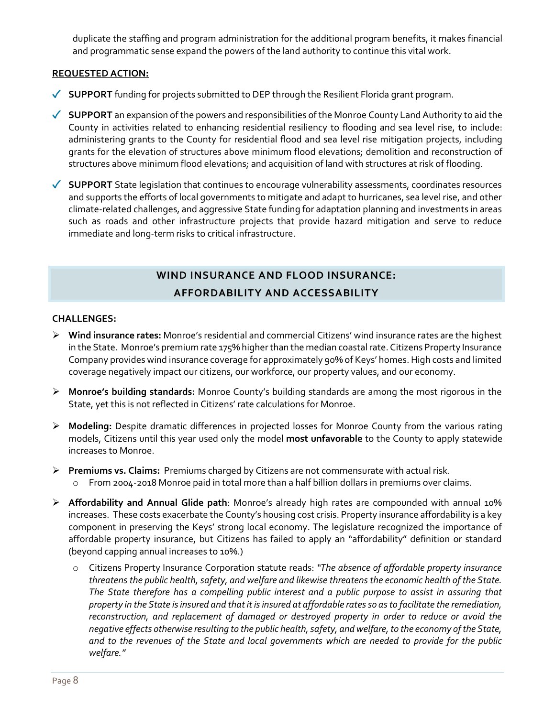duplicate the staffing and program administration for the additional program benefits, it makes financial and programmatic sense expand the powers of the land authority to continue this vital work.

### **REQUESTED ACTION:**

- ◆ **SUPPORT** funding for projects submitted to DEP through the Resilient Florida grant program.
- **SUPPORT** an expansion of the powers and responsibilities of the Monroe County Land Authority to aid the County in activities related to enhancing residential resiliency to flooding and sea level rise, to include: administering grants to the County for residential flood and sea level rise mitigation projects, including grants for the elevation of structures above minimum flood elevations; demolition and reconstruction of structures above minimum flood elevations; and acquisition of land with structures at risk of flooding.
- ◆ **SUPPORT** State legislation that continues to encourage vulnerability assessments, coordinates resources and supports the efforts of local governments to mitigate and adapt to hurricanes, sea level rise, and other climate-related challenges, and aggressive State funding for adaptation planning and investments in areas such as roads and other infrastructure projects that provide hazard mitigation and serve to reduce immediate and long-term risks to critical infrastructure.

# **WIND INSURANCE AND FLOOD INSURANCE: AFFORDABILITY AND ACCESSABILITY**

#### **CHALLENGES:**

- **Wind insurance rates:** Monroe's residential and commercial Citizens' wind insurance rates are the highest in the State. Monroe's premium rate 175% higher than the median coastal rate. Citizens Property Insurance Company provides wind insurance coverage for approximately 90% of Keys' homes. High costs and limited coverage negatively impact our citizens, our workforce, our property values, and our economy.
- **Monroe's building standards:** Monroe County's building standards are among the most rigorous in the State, yet this is not reflected in Citizens' rate calculations for Monroe.
- **Modeling:** Despite dramatic differences in projected losses for Monroe County from the various rating models, Citizens until this year used only the model **most unfavorable** to the County to apply statewide increases to Monroe.
- **Premiums vs. Claims:** Premiums charged by Citizens are not commensurate with actual risk.
	- o From 2004-2018 Monroe paid in total more than a half billion dollars in premiums over claims.
- **Affordability and Annual Glide path**: Monroe's already high rates are compounded with annual 10% increases. These costs exacerbate the County's housing cost crisis. Property insurance affordability is a key component in preserving the Keys' strong local economy. The legislature recognized the importance of affordable property insurance, but Citizens has failed to apply an "affordability" definition or standard (beyond capping annual increases to 10%.)
	- o Citizens Property Insurance Corporation statute reads: *"The absence of affordable property insurance threatens the public health, safety, and welfare and likewise threatens the economic health of the State. The State therefore has a compelling public interest and a public purpose to assist in assuring that property in the State is insured and that it is insured at affordable rates so as to facilitate the remediation, reconstruction, and replacement of damaged or destroyed property in order to reduce or avoid the negative effects otherwise resulting to the public health, safety, and welfare, to the economy of the State, and to the revenues of the State and local governments which are needed to provide for the public welfare."*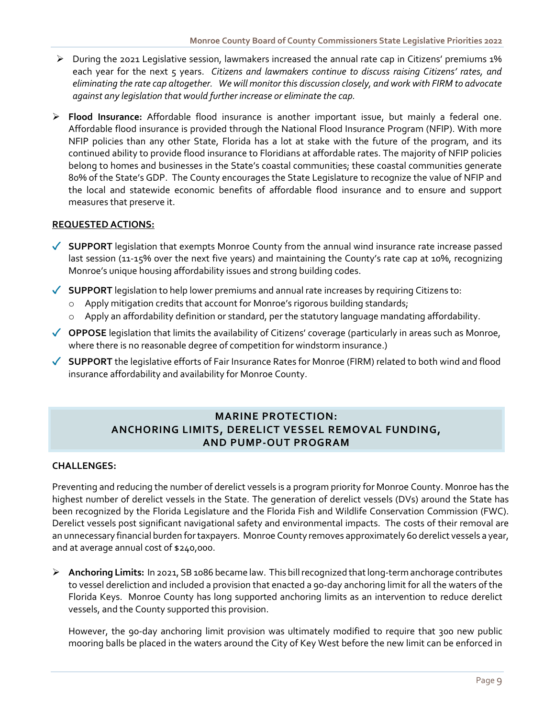- $\triangleright$  During the 2021 Legislative session, lawmakers increased the annual rate cap in Citizens' premiums 1% each year for the next 5 years. *Citizens and lawmakers continue to discuss raising Citizens' rates, and eliminating the rate cap altogether. We will monitor this discussion closely, and work with FIRM to advocate against any legislation that would further increase or eliminate the cap.*
- **Flood Insurance:** Affordable flood insurance is another important issue, but mainly a federal one. Affordable flood insurance is provided through the National Flood Insurance Program (NFIP). With more NFIP policies than any other State, Florida has a lot at stake with the future of the program, and its continued ability to provide flood insurance to Floridians at affordable rates. The majority of NFIP policies belong to homes and businesses in the State's coastal communities; these coastal communities generate 80% of the State's GDP. The County encourages the State Legislature to recognize the value of NFIP and the local and statewide economic benefits of affordable flood insurance and to ensure and support measures that preserve it.

#### **REQUESTED ACTIONS:**

- ◆ **SUPPORT** legislation that exempts Monroe County from the annual wind insurance rate increase passed last session (11-15% over the next five years) and maintaining the County's rate cap at 10%, recognizing Monroe's unique housing affordability issues and strong building codes.
- ◆ **SUPPORT** legislation to help lower premiums and annual rate increases by requiring Citizens to:
	- o Apply mitigation credits that account for Monroe's rigorous building standards;
	- o Apply an affordability definition or standard, per the statutory language mandating affordability.
- ◆ OPPOSE legislation that limits the availability of Citizens' coverage (particularly in areas such as Monroe, where there is no reasonable degree of competition for windstorm insurance.)
- **SUPPORT** the legislative efforts of Fair Insurance Rates for Monroe (FIRM) related to both wind and flood insurance affordability and availability for Monroe County.

# **MARINE PROTECTION: ANCHORING LIMITS, DERELICT VESSEL REMOVAL FUNDING, AND PUMP-OUT PROGRAM**

#### **CHALLENGES:**

Preventing and reducing the number of derelict vessels is a program priority for Monroe County. Monroe has the highest number of derelict vessels in the State. The generation of derelict vessels (DVs) around the State has been recognized by the Florida Legislature and the Florida Fish and Wildlife Conservation Commission (FWC). Derelict vessels post significant navigational safety and environmental impacts. The costs of their removal are an unnecessary financial burden for taxpayers. Monroe County removes approximately 60 derelict vessels a year, and at average annual cost of \$240,000.

 **Anchoring Limits:** In 2021, SB 1086 became law. This bill recognized that long-term anchorage contributes to vessel dereliction and included a provision that enacted a 90-day anchoring limit for all the waters of the Florida Keys. Monroe County has long supported anchoring limits as an intervention to reduce derelict vessels, and the County supported this provision.

However, the 90-day anchoring limit provision was ultimately modified to require that 300 new public mooring balls be placed in the waters around the City of Key West before the new limit can be enforced in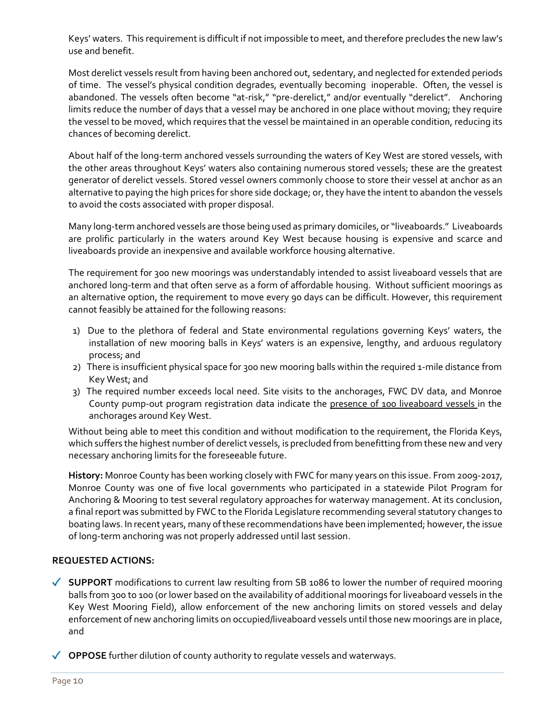Keys' waters. This requirement is difficult if not impossible to meet, and therefore precludes the new law's use and benefit.

Most derelict vessels result from having been anchored out, sedentary, and neglected for extended periods of time. The vessel's physical condition degrades, eventually becoming inoperable. Often, the vessel is abandoned. The vessels often become "at-risk," "pre-derelict," and/or eventually "derelict". Anchoring limits reduce the number of days that a vessel may be anchored in one place without moving; they require the vessel to be moved, which requires that the vessel be maintained in an operable condition, reducing its chances of becoming derelict.

About half of the long-term anchored vessels surrounding the waters of Key West are stored vessels, with the other areas throughout Keys' waters also containing numerous stored vessels; these are the greatest generator of derelict vessels. Stored vessel owners commonly choose to store their vessel at anchor as an alternative to paying the high prices for shore side dockage; or, they have the intent to abandon the vessels to avoid the costs associated with proper disposal.

Many long-term anchored vessels are those being used as primary domiciles, or "liveaboards." Liveaboards are prolific particularly in the waters around Key West because housing is expensive and scarce and liveaboards provide an inexpensive and available workforce housing alternative.

The requirement for 300 new moorings was understandably intended to assist liveaboard vessels that are anchored long-term and that often serve as a form of affordable housing. Without sufficient moorings as an alternative option, the requirement to move every 90 days can be difficult. However, this requirement cannot feasibly be attained for the following reasons:

- 1) Due to the plethora of federal and State environmental regulations governing Keys' waters, the installation of new mooring balls in Keys' waters is an expensive, lengthy, and arduous regulatory process; and
- 2) There is insufficient physical space for 300 new mooring balls within the required 1-mile distance from Key West; and
- 3) The required number exceeds local need. Site visits to the anchorages, FWC DV data, and Monroe County pump-out program registration data indicate the presence of 100 liveaboard vessels in the anchorages around Key West.

Without being able to meet this condition and without modification to the requirement, the Florida Keys, which suffers the highest number of derelict vessels, is precluded from benefitting from these new and very necessary anchoring limits for the foreseeable future.

**History:** Monroe County has been working closely with FWC for many years on this issue. From 2009-2017, Monroe County was one of five local governments who participated in a statewide Pilot Program for Anchoring & Mooring to test several regulatory approaches for waterway management. At its conclusion, a final report was submitted by FWC to the Florida Legislature recommending several statutory changes to boating laws. In recent years, many of these recommendations have been implemented; however, the issue of long-term anchoring was not properly addressed until last session.

- **SUPPORT** modifications to current law resulting from SB 1086 to lower the number of required mooring balls from 300 to 100 (or lower based on the availability of additional moorings for liveaboard vessels in the Key West Mooring Field), allow enforcement of the new anchoring limits on stored vessels and delay enforcement of new anchoring limits on occupied/liveaboard vessels until those new moorings are in place, and
- ◆ OPPOSE further dilution of county authority to regulate vessels and waterways.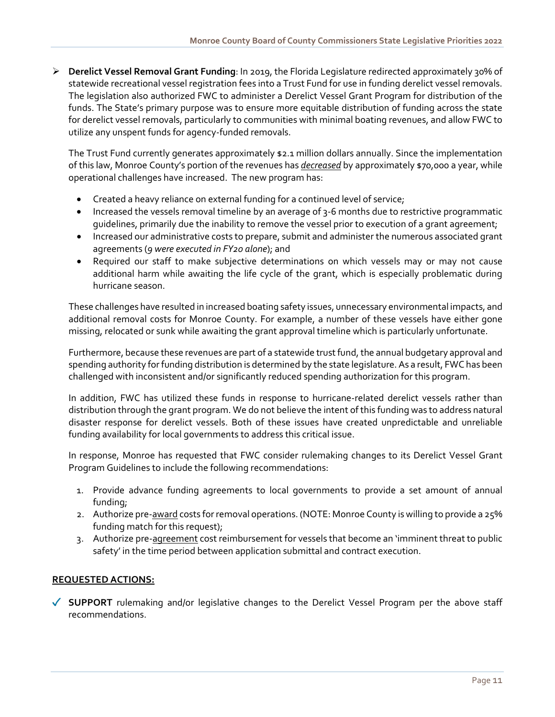**Derelict Vessel Removal Grant Funding**: In 2019, the Florida Legislature redirected approximately 30% of statewide recreational vessel registration fees into a Trust Fund for use in funding derelict vessel removals. The legislation also authorized FWC to administer a Derelict Vessel Grant Program for distribution of the funds. The State's primary purpose was to ensure more equitable distribution of funding across the state for derelict vessel removals, particularly to communities with minimal boating revenues, and allow FWC to utilize any unspent funds for agency-funded removals.

The Trust Fund currently generates approximately \$2.1 million dollars annually. Since the implementation of this law, Monroe County's portion of the revenues has *decreased* by approximately \$70,000 a year, while operational challenges have increased. The new program has:

- Created a heavy reliance on external funding for a continued level of service;
- Increased the vessels removal timeline by an average of 3-6 months due to restrictive programmatic guidelines, primarily due the inability to remove the vessel prior to execution of a grant agreement;
- Increased our administrative costs to prepare, submit and administer the numerous associated grant agreements (*9 were executed in FY20 alone*); and
- Required our staff to make subjective determinations on which vessels may or may not cause additional harm while awaiting the life cycle of the grant, which is especially problematic during hurricane season.

These challenges have resulted in increased boating safety issues, unnecessary environmental impacts, and additional removal costs for Monroe County. For example, a number of these vessels have either gone missing, relocated or sunk while awaiting the grant approval timeline which is particularly unfortunate.

Furthermore, because these revenues are part of a statewide trust fund, the annual budgetary approval and spending authority for funding distribution is determined by the state legislature. As a result, FWC has been challenged with inconsistent and/or significantly reduced spending authorization for this program.

In addition, FWC has utilized these funds in response to hurricane-related derelict vessels rather than distribution through the grant program. We do not believe the intent of this funding was to address natural disaster response for derelict vessels. Both of these issues have created unpredictable and unreliable funding availability for local governments to address this critical issue.

In response, Monroe has requested that FWC consider rulemaking changes to its Derelict Vessel Grant Program Guidelines to include the following recommendations:

- 1. Provide advance funding agreements to local governments to provide a set amount of annual funding;
- 2. Authorize pre-award costs for removal operations. (NOTE: Monroe County is willing to provide a 25% funding match for this request);
- 3. Authorize pre-agreement cost reimbursement for vessels that become an 'imminent threat to public safety' in the time period between application submittal and contract execution.

### **REQUESTED ACTIONS:**

**SUPPORT** rulemaking and/or legislative changes to the Derelict Vessel Program per the above staff recommendations.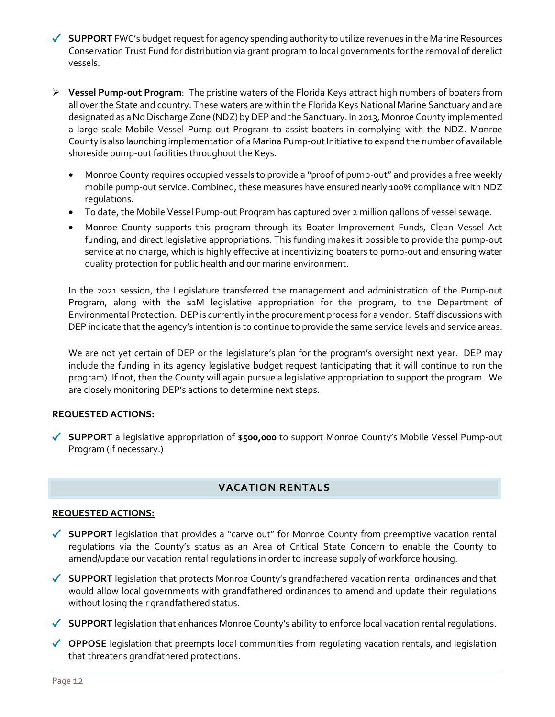- **SUPPORT** FWC's budget request for agency spending authority to utilize revenues in the Marine Resources Conservation Trust Fund for distribution via grant program to local governments for the removal of derelict vessels.
- **Vessel Pump-out Program**: The pristine waters of the Florida Keys attract high numbers of boaters from all over the State and country. These waters are within the Florida Keys National Marine Sanctuary and are designated as a No Discharge Zone (NDZ) by DEP and the Sanctuary. In 2013, Monroe County implemented a large-scale Mobile Vessel Pump-out Program to assist boaters in complying with the NDZ. Monroe County is also launching implementation of a Marina Pump-out Initiative to expand the number of available shoreside pump-out facilities throughout the Keys.
	- Monroe County requires occupied vessels to provide a "proof of pump-out" and provides a free weekly mobile pump-out service. Combined, these measures have ensured nearly 100% compliance with NDZ regulations.
	- To date, the Mobile Vessel Pump-out Program has captured over 2 million gallons of vessel sewage.
	- Monroe County supports this program through its Boater Improvement Funds, Clean Vessel Act funding, and direct legislative appropriations. This funding makes it possible to provide the pump-out service at no charge, which is highly effective at incentivizing boaters to pump-out and ensuring water quality protection for public health and our marine environment.

In the 2021 session, the Legislature transferred the management and administration of the Pump-out Program, along with the \$1M legislative appropriation for the program, to the Department of Environmental Protection. DEP is currently in the procurement process for a vendor. Staff discussions with DEP indicate that the agency's intention is to continue to provide the same service levels and service areas.

We are not yet certain of DEP or the legislature's plan for the program's oversight next year. DEP may include the funding in its agency legislative budget request (anticipating that it will continue to run the program). If not, then the County will again pursue a legislative appropriation to support the program. We are closely monitoring DEP's actions to determine next steps.

### **REQUESTED ACTIONS:**

**SUPPOR**T a legislative appropriation of \$**500,000** to support Monroe County's Mobile Vessel Pump-out Program (if necessary.)

# **VACATION RENTALS**

- ◆ SUPPORT legislation that provides a "carve out" for Monroe County from preemptive vacation rental regulations via the County's status as an Area of Critical State Concern to enable the County to amend/update our vacation rental regulations in order to increase supply of workforce housing.
- ◆ **SUPPORT** legislation that protects Monroe County's grandfathered vacation rental ordinances and that would allow local governments with grandfathered ordinances to amend and update their regulations without losing their grandfathered status.
- ◆ **SUPPORT** legislation that enhances Monroe County's ability to enforce local vacation rental regulations.
- ◆ OPPOSE legislation that preempts local communities from regulating vacation rentals, and legislation that threatens grandfathered protections.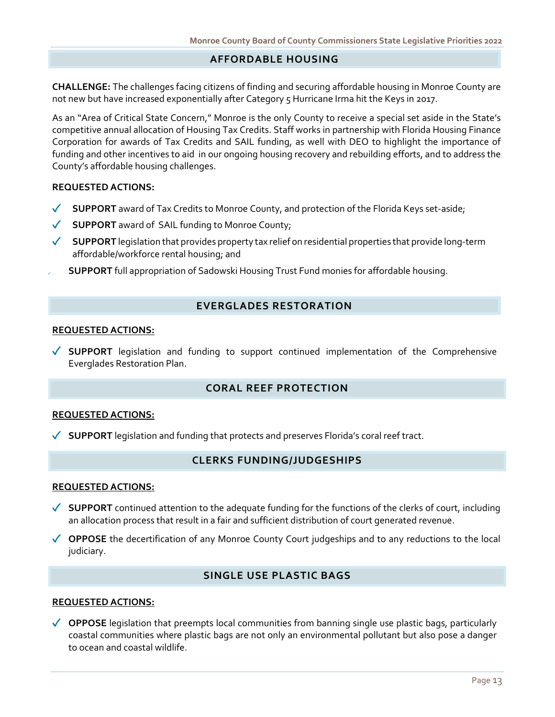### **AFFORDABLE HOUSING**

**CHALLENGE:** The challenges facing citizens of finding and securing affordable housing in Monroe County are not new but have increased exponentially after Category 5 Hurricane Irma hit the Keys in 2017.

As an "Area of Critical State Concern," Monroe is the only County to receive a special set aside in the State's competitive annual allocation of Housing Tax Credits. Staff works in partnership with Florida Housing Finance Corporation for awards of Tax Credits and SAIL funding, as well with DEO to highlight the importance of funding and other incentives to aid in our ongoing housing recovery and rebuilding efforts, and to address the County's affordable housing challenges.

#### **REQUESTED ACTIONS:**

- $\checkmark$ **SUPPORT** award of Tax Credits to Monroe County, and protection of the Florida Keys set-aside;
- **SUPPORT** award of SAIL funding to Monroe County;  $\checkmark$
- ◆ SUPPORT legislation that provides property tax relief on residential properties that provide long-term affordable/workforce rental housing; and
	- **SUPPORT** full appropriation of Sadowski Housing Trust Fund monies for affordable housing.

#### **EVERGLADES RESTORATION**

#### **REQUESTED ACTIONS:**

**SUPPORT** legislation and funding to support continued implementation of the Comprehensive Everglades Restoration Plan.

# **CORAL REEF PROTECTION**

#### **REQUESTED ACTIONS:**

**SUPPORT** legislation and funding that protects and preserves Florida's coral reef tract.

#### **CLERKS FUNDING/JUDGESHIPS**

#### **REQUESTED ACTIONS:**

- ◆ **SUPPORT** continued attention to the adequate funding for the functions of the clerks of court, including an allocation process that result in a fair and sufficient distribution of court generated revenue.
- ◆ OPPOSE the decertification of any Monroe County Court judgeships and to any reductions to the local judiciary.

### **SINGLE USE PLASTIC BAGS**

#### **REQUESTED ACTIONS:**

◆ OPPOSE legislation that preempts local communities from banning single use plastic bags, particularly coastal communities where plastic bags are not only an environmental pollutant but also pose a danger to ocean and coastal wildlife.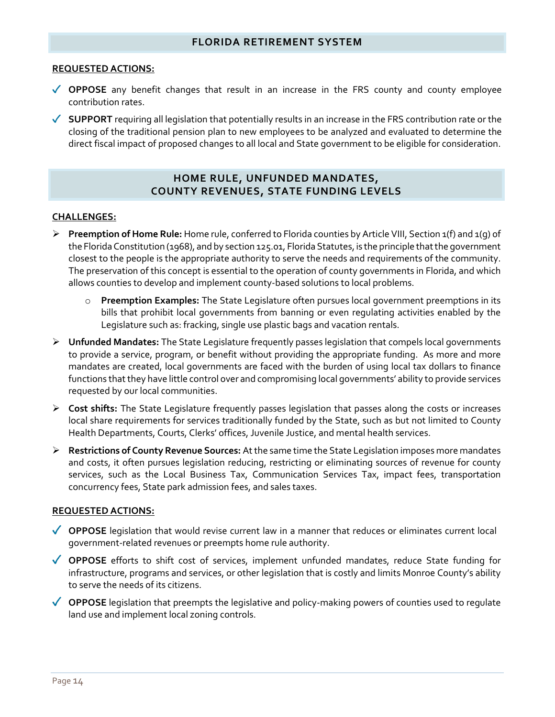### **FLORIDA RETIREMENT SYSTEM**

#### **REQUESTED ACTIONS:**

- ◆ OPPOSE any benefit changes that result in an increase in the FRS county and county employee contribution rates.
- ◆ **SUPPORT** requiring all legislation that potentially results in an increase in the FRS contribution rate or the closing of the traditional pension plan to new employees to be analyzed and evaluated to determine the direct fiscal impact of proposed changes to all local and State government to be eligible for consideration.

### **HOME RULE, UNFUNDED MANDATES, COUNTY REVENUES, STATE FUNDING LEVELS**

#### **CHALLENGES:**

- **Preemption of Home Rule:** Home rule, conferred to Florida counties by Article VIII, Section 1(f) and 1(g) of the Florida Constitution (1968), and by section 125.01, Florida Statutes, is the principle that the government closest to the people is the appropriate authority to serve the needs and requirements of the community. The preservation of this concept is essential to the operation of county governments in Florida, and which allows counties to develop and implement county-based solutions to local problems.
	- o **Preemption Examples:** The State Legislature often pursues local government preemptions in its bills that prohibit local governments from banning or even regulating activities enabled by the Legislature such as: fracking, single use plastic bags and vacation rentals.
- **Unfunded Mandates:** The State Legislature frequently passes legislation that compels local governments to provide a service, program, or benefit without providing the appropriate funding. As more and more mandates are created, local governments are faced with the burden of using local tax dollars to finance functions that they have little control over and compromising local governments' ability to provide services requested by our local communities.
- **Cost shifts:** The State Legislature frequently passes legislation that passes along the costs or increases local share requirements for services traditionally funded by the State, such as but not limited to County Health Departments, Courts, Clerks' offices, Juvenile Justice, and mental health services.
- **Restrictions of County Revenue Sources:** At the same time the State Legislation imposes more mandates and costs, it often pursues legislation reducing, restricting or eliminating sources of revenue for county services, such as the Local Business Tax, Communication Services Tax, impact fees, transportation concurrency fees, State park admission fees, and sales taxes.

- ◆ OPPOSE legislation that would revise current law in a manner that reduces or eliminates current local government-related revenues or preempts home rule authority.
- **OPPOSE** efforts to shift cost of services, implement unfunded mandates, reduce State funding for infrastructure, programs and services, or other legislation that is costly and limits Monroe County's ability to serve the needs of its citizens.
- ◆ OPPOSE legislation that preempts the legislative and policy-making powers of counties used to regulate land use and implement local zoning controls.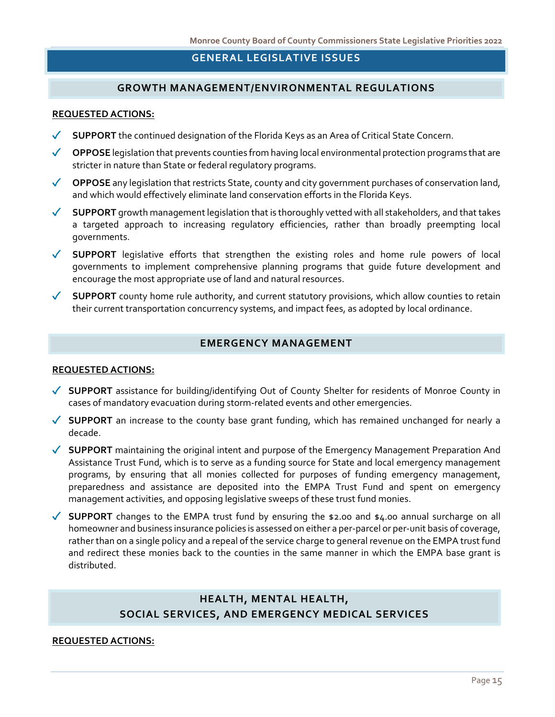# **GENERAL LEGISLATIVE ISSUES**

### **GROWTH MANAGEMENT/ENVIRONMENTAL REGULATIONS**

#### **REQUESTED ACTIONS:**

- **SUPPORT** the continued designation of the Florida Keys as an Area of Critical State Concern.
- ◆ OPPOSE legislation that prevents counties from having local environmental protection programs that are stricter in nature than State or federal regulatory programs.
- ◆ OPPOSE any legislation that restricts State, county and city government purchases of conservation land, and which would effectively eliminate land conservation efforts in the Florida Keys.
- **SUPPORT** growth management legislation that is thoroughly vetted with all stakeholders, and that takes a targeted approach to increasing regulatory efficiencies, rather than broadly preempting local governments.
- ◆ **SUPPORT** legislative efforts that strengthen the existing roles and home rule powers of local governments to implement comprehensive planning programs that guide future development and encourage the most appropriate use of land and natural resources.
- ◆ **SUPPORT** county home rule authority, and current statutory provisions, which allow counties to retain their current transportation concurrency systems, and impact fees, as adopted by local ordinance.

### **EMERGENCY MANAGEMENT**

#### **REQUESTED ACTIONS:**

- **SUPPORT** assistance for building/identifying Out of County Shelter for residents of Monroe County in cases of mandatory evacuation during storm-related events and other emergencies.
- ◆ **SUPPORT** an increase to the county base grant funding, which has remained unchanged for nearly a decade.
- ◆ SUPPORT maintaining the original intent and purpose of the Emergency Management Preparation And Assistance Trust Fund, which is to serve as a funding source for State and local emergency management programs, by ensuring that all monies collected for purposes of funding emergency management, preparedness and assistance are deposited into the EMPA Trust Fund and spent on emergency management activities, and opposing legislative sweeps of these trust fund monies.
- ◆ **SUPPORT** changes to the EMPA trust fund by ensuring the \$2.00 and \$4.00 annual surcharge on all homeowner and business insurance policies is assessed on either a per-parcel or per-unit basis of coverage, rather than on a single policy and a repeal of the service charge to general revenue on the EMPA trust fund and redirect these monies back to the counties in the same manner in which the EMPA base grant is distributed.

# **HEALTH, MENTAL HEALTH, SOCIAL SERVICES, AND EMERGENCY MEDICAL SERVICES**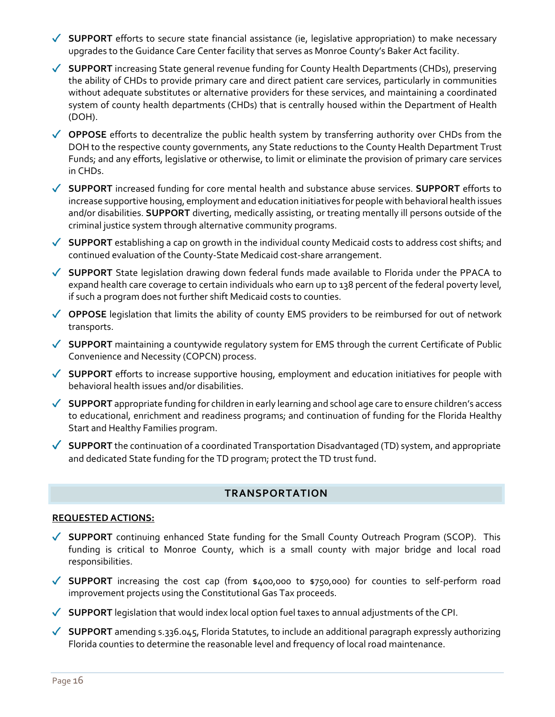- ◆ **SUPPORT** efforts to secure state financial assistance (ie, legislative appropriation) to make necessary upgrades to the Guidance Care Center facility that serves as Monroe County's Baker Act facility.
- **SUPPORT** increasing State general revenue funding for County Health Departments (CHDs), preserving the ability of CHDs to provide primary care and direct patient care services, particularly in communities without adequate substitutes or alternative providers for these services, and maintaining a coordinated system of county health departments (CHDs) that is centrally housed within the Department of Health (DOH).
- ◆ OPPOSE efforts to decentralize the public health system by transferring authority over CHDs from the DOH to the respective county governments, any State reductions to the County Health Department Trust Funds; and any efforts, legislative or otherwise, to limit or eliminate the provision of primary care services in CHDs.
- **SUPPORT** increased funding for core mental health and substance abuse services. **SUPPORT** efforts to increase supportive housing, employment and education initiatives for people with behavioral health issues and/or disabilities. **SUPPORT** diverting, medically assisting, or treating mentally ill persons outside of the criminal justice system through alternative community programs.
- ◆ **SUPPORT** establishing a cap on growth in the individual county Medicaid costs to address cost shifts; and continued evaluation of the County-State Medicaid cost-share arrangement.
- ◆ **SUPPORT** State legislation drawing down federal funds made available to Florida under the PPACA to expand health care coverage to certain individuals who earn up to 138 percent of the federal poverty level, if such a program does not further shift Medicaid costs to counties.
- ◆ OPPOSE legislation that limits the ability of county EMS providers to be reimbursed for out of network transports.
- ◆ **SUPPORT** maintaining a countywide regulatory system for EMS through the current Certificate of Public Convenience and Necessity (COPCN) process.
- ◆ **SUPPORT** efforts to increase supportive housing, employment and education initiatives for people with behavioral health issues and/or disabilities.
- ◆ **SUPPORT** appropriate funding for children in early learning and school age care to ensure children's access to educational, enrichment and readiness programs; and continuation of funding for the Florida Healthy Start and Healthy Families program.
- ◆ **SUPPORT** the continuation of a coordinated Transportation Disadvantaged (TD) system, and appropriate and dedicated State funding for the TD program; protect the TD trust fund.

# **TRANSPORTATION**

- ◆ SUPPORT continuing enhanced State funding for the Small County Outreach Program (SCOP). This funding is critical to Monroe County, which is a small county with major bridge and local road responsibilities.
- ◆ **SUPPORT** increasing the cost cap (from \$400,000 to \$750,000) for counties to self-perform road improvement projects using the Constitutional Gas Tax proceeds.
- ◆ SUPPORT legislation that would index local option fuel taxes to annual adjustments of the CPI.
- ◆ **SUPPORT** amending s.336.045, Florida Statutes, to include an additional paragraph expressly authorizing Florida counties to determine the reasonable level and frequency of local road maintenance.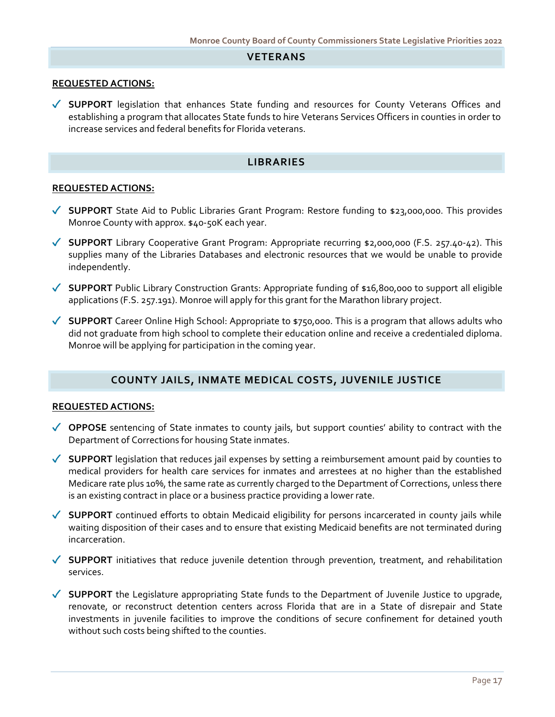#### **VETERANS**

#### **REQUESTED ACTIONS:**

◆ SUPPORT legislation that enhances State funding and resources for County Veterans Offices and establishing a program that allocates State funds to hire Veterans Services Officers in counties in order to increase services and federal benefits for Florida veterans.

#### **LIBRARIES**

#### **REQUESTED ACTIONS:**

- ◆ **SUPPORT** State Aid to Public Libraries Grant Program: Restore funding to \$23,000,000. This provides Monroe County with approx. \$40-50K each year.
- **SUPPORT** Library Cooperative Grant Program: Appropriate recurring \$2,000,000 (F.S. 257.40-42). This supplies many of the Libraries Databases and electronic resources that we would be unable to provide independently.
- **SUPPORT** Public Library Construction Grants: Appropriate funding of \$16,800,000 to support all eligible applications (F.S. 257.191). Monroe will apply for this grant for the Marathon library project.
- ◆ **SUPPORT** Career Online High School: Appropriate to \$750,000. This is a program that allows adults who did not graduate from high school to complete their education online and receive a credentialed diploma. Monroe will be applying for participation in the coming year.

### **COUNTY JAILS, INMATE MEDICAL COSTS, JUVENILE JUSTICE**

- ◆ OPPOSE sentencing of State inmates to county jails, but support counties' ability to contract with the Department of Corrections for housing State inmates.
- ◆ **SUPPORT** legislation that reduces jail expenses by setting a reimbursement amount paid by counties to medical providers for health care services for inmates and arrestees at no higher than the established Medicare rate plus 10%, the same rate as currently charged to the Department of Corrections, unless there is an existing contract in place or a business practice providing a lower rate.
- ◆ **SUPPORT** continued efforts to obtain Medicaid eligibility for persons incarcerated in county jails while waiting disposition of their cases and to ensure that existing Medicaid benefits are not terminated during incarceration.
- **SUPPORT** initiatives that reduce juvenile detention through prevention, treatment, and rehabilitation services.
- **SUPPORT** the Legislature appropriating State funds to the Department of Juvenile Justice to upgrade, renovate, or reconstruct detention centers across Florida that are in a State of disrepair and State investments in juvenile facilities to improve the conditions of secure confinement for detained youth without such costs being shifted to the counties.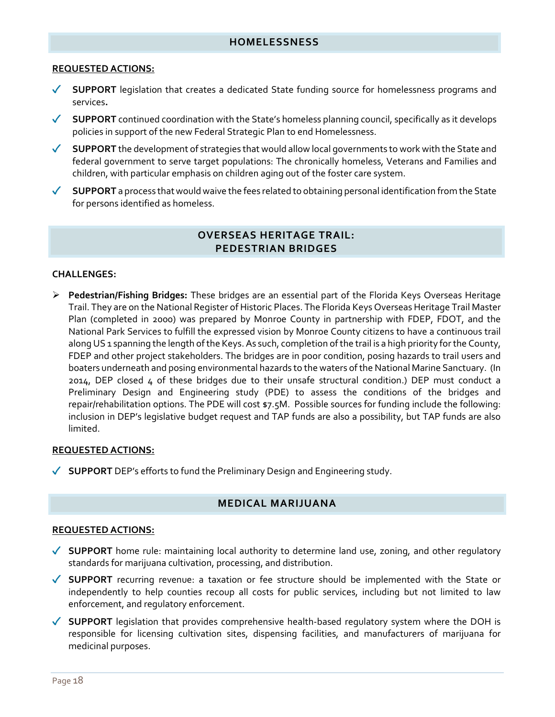#### **REQUESTED ACTIONS:**

- ◆ SUPPORT legislation that creates a dedicated State funding source for homelessness programs and services**.**
- ◆ SUPPORT continued coordination with the State's homeless planning council, specifically as it develops policies in support of the new Federal Strategic Plan to end Homelessness.
- **SUPPORT** the development of strategies that would allow local governments to work with the State and federal government to serve target populations: The chronically homeless, Veterans and Families and children, with particular emphasis on children aging out of the foster care system.
- **SUPPORT** a process that would waive the fees related to obtaining personal identification from the State for persons identified as homeless.

### **OVERSEAS HERITAGE TRAIL: PEDESTRIAN BRIDGES**

#### **CHALLENGES:**

 **Pedestrian/Fishing Bridges:** These bridges are an essential part of the Florida Keys Overseas Heritage Trail. They are on the National Register of Historic Places. The Florida Keys Overseas Heritage Trail Master Plan (completed in 2000) was prepared by Monroe County in partnership with FDEP, FDOT, and the National Park Services to fulfill the expressed vision by Monroe County citizens to have a continuous trail along US 1 spanning the length of the Keys. As such, completion of the trail is a high priority for the County, FDEP and other project stakeholders. The bridges are in poor condition, posing hazards to trail users and boaters underneath and posing environmental hazards to the waters of the National Marine Sanctuary. (In 2014, DEP closed 4 of these bridges due to their unsafe structural condition.) DEP must conduct a Preliminary Design and Engineering study (PDE) to assess the conditions of the bridges and repair/rehabilitation options. The PDE will cost \$7.5M. Possible sources for funding include the following: inclusion in DEP's legislative budget request and TAP funds are also a possibility, but TAP funds are also limited.

### **REQUESTED ACTIONS:**

**SUPPORT** DEP's efforts to fund the Preliminary Design and Engineering study.

# **MEDICAL MARIJUANA**

- **SUPPORT** home rule: maintaining local authority to determine land use, zoning, and other regulatory standards for marijuana cultivation, processing, and distribution.
- **SUPPORT** recurring revenue: a taxation or fee structure should be implemented with the State or independently to help counties recoup all costs for public services, including but not limited to law enforcement, and regulatory enforcement.
- **SUPPORT** legislation that provides comprehensive health-based regulatory system where the DOH is responsible for licensing cultivation sites, dispensing facilities, and manufacturers of marijuana for medicinal purposes.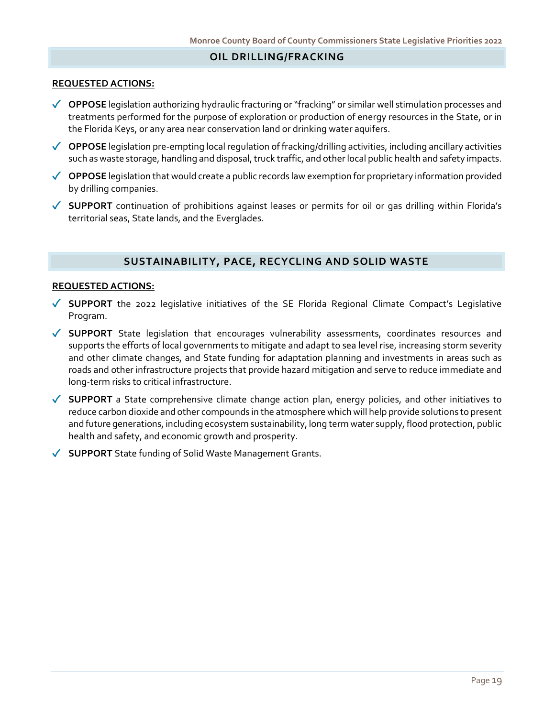### **OIL DRILLING/FRACKING**

#### **REQUESTED ACTIONS:**

- ◆ OPPOSE legislation authorizing hydraulic fracturing or "fracking" or similar well stimulation processes and treatments performed for the purpose of exploration or production of energy resources in the State, or in the Florida Keys, or any area near conservation land or drinking water aquifers.
- **OPPOSE** legislation pre-empting local regulation of fracking/drilling activities, including ancillary activities such as waste storage, handling and disposal, truck traffic, and other local public health and safety impacts.
- ◆ OPPOSE legislation that would create a public records law exemption for proprietary information provided by drilling companies.
- **SUPPORT** continuation of prohibitions against leases or permits for oil or gas drilling within Florida's territorial seas, State lands, and the Everglades.

#### **SUSTAINABILITY, PACE, RECYCLING AND SOLID WASTE**

- ◆ **SUPPORT** the 2022 legislative initiatives of the SE Florida Regional Climate Compact's Legislative Program.
- **SUPPORT** State legislation that encourages vulnerability assessments, coordinates resources and supports the efforts of local governments to mitigate and adapt to sea level rise, increasing storm severity and other climate changes, and State funding for adaptation planning and investments in areas such as roads and other infrastructure projects that provide hazard mitigation and serve to reduce immediate and long-term risks to critical infrastructure.
- **SUPPORT** a State comprehensive climate change action plan, energy policies, and other initiatives to reduce carbon dioxide and other compounds in the atmosphere which will help provide solutions to present and future generations, including ecosystem sustainability, long term water supply, flood protection, public health and safety, and economic growth and prosperity.
- ◆ **SUPPORT** State funding of Solid Waste Management Grants.